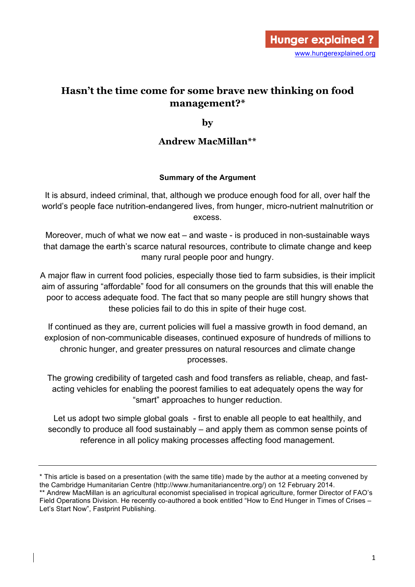# **Hasn't the time come for some brave new thinking on food management?\***

**by**

# **Andrew MacMillan\*\***

#### **Summary of the Argument**

It is absurd, indeed criminal, that, although we produce enough food for all, over half the world's people face nutrition-endangered lives, from hunger, micro-nutrient malnutrition or excess.

Moreover, much of what we now eat – and waste - is produced in non-sustainable ways that damage the earth's scarce natural resources, contribute to climate change and keep many rural people poor and hungry.

A major flaw in current food policies, especially those tied to farm subsidies, is their implicit aim of assuring "affordable" food for all consumers on the grounds that this will enable the poor to access adequate food. The fact that so many people are still hungry shows that these policies fail to do this in spite of their huge cost.

If continued as they are, current policies will fuel a massive growth in food demand, an explosion of non-communicable diseases, continued exposure of hundreds of millions to chronic hunger, and greater pressures on natural resources and climate change processes.

The growing credibility of targeted cash and food transfers as reliable, cheap, and fastacting vehicles for enabling the poorest families to eat adequately opens the way for "smart" approaches to hunger reduction.

Let us adopt two simple global goals - first to enable all people to eat healthily, and secondly to produce all food sustainably – and apply them as common sense points of reference in all policy making processes affecting food management.

<sup>\*</sup> This article is based on a presentation (with the same title) made by the author at a meeting convened by the Cambridge Humanitarian Centre (http://www.humanitariancentre.org/) on 12 February 2014. \*\* Andrew MacMillan is an agricultural economist specialised in tropical agriculture, former Director of FAO's Field Operations Division. He recently co-authored a book entitled "How to End Hunger in Times of Crises – Let's Start Now", Fastprint Publishing.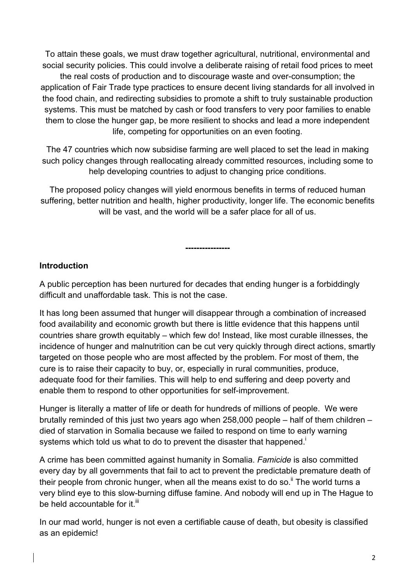To attain these goals, we must draw together agricultural, nutritional, environmental and social security policies. This could involve a deliberate raising of retail food prices to meet the real costs of production and to discourage waste and over-consumption; the application of Fair Trade type practices to ensure decent living standards for all involved in the food chain, and redirecting subsidies to promote a shift to truly sustainable production systems. This must be matched by cash or food transfers to very poor families to enable them to close the hunger gap, be more resilient to shocks and lead a more independent life, competing for opportunities on an even footing.

The 47 countries which now subsidise farming are well placed to set the lead in making such policy changes through reallocating already committed resources, including some to help developing countries to adjust to changing price conditions.

The proposed policy changes will yield enormous benefits in terms of reduced human suffering, better nutrition and health, higher productivity, longer life. The economic benefits will be vast, and the world will be a safer place for all of us.

**----------------**

### **Introduction**

A public perception has been nurtured for decades that ending hunger is a forbiddingly difficult and unaffordable task. This is not the case.

It has long been assumed that hunger will disappear through a combination of increased food availability and economic growth but there is little evidence that this happens until countries share growth equitably – which few do! Instead, like most curable illnesses, the incidence of hunger and malnutrition can be cut very quickly through direct actions, smartly targeted on those people who are most affected by the problem. For most of them, the cure is to raise their capacity to buy, or, especially in rural communities, produce, adequate food for their families. This will help to end suffering and deep poverty and enable them to respond to other opportunities for self-improvement.

Hunger is literally a matter of life or death for hundreds of millions of people. We were brutally reminded of this just two years ago when 258,000 people – half of them children – died of starvation in Somalia because we failed to respond on time to early warning systems which told us what to do to prevent the disaster that happened.<sup>i</sup>

A crime has been committed against humanity in Somalia. *Famicide* is also committed every day by all governments that fail to act to prevent the predictable premature death of their people from chronic hunger, when all the means exist to do so.<sup>ii</sup> The world turns a very blind eye to this slow-burning diffuse famine. And nobody will end up in The Hague to be held accountable for it.<sup>iii</sup>

In our mad world, hunger is not even a certifiable cause of death, but obesity is classified as an epidemic!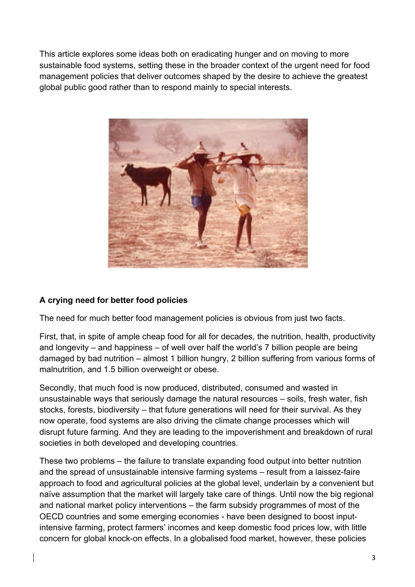This article explores some ideas both on eradicating hunger and on moving to more sustainable food systems, setting these in the broader context of the urgent need for food management policies that deliver outcomes shaped by the desire to achieve the greatest global public good rather than to respond mainly to special interests.



### **A crying need for better food policies**

The need for much better food management policies is obvious from just two facts.

First, that, in spite of ample cheap food for all for decades, the nutrition, health, productivity and longevity – and happiness – of well over half the world's 7 billion people are being damaged by bad nutrition – almost 1 billion hungry, 2 billion suffering from various forms of malnutrition, and 1.5 billion overweight or obese.

Secondly, that much food is now produced, distributed, consumed and wasted in unsustainable ways that seriously damage the natural resources – soils, fresh water, fish stocks, forests, biodiversity – that future generations will need for their survival. As they now operate, food systems are also driving the climate change processes which will disrupt future farming. And they are leading to the impoverishment and breakdown of rural societies in both developed and developing countries.

These two problems – the failure to translate expanding food output into better nutrition and the spread of unsustainable intensive farming systems – result from a laissez-faire approach to food and agricultural policies at the global level, underlain by a convenient but naïve assumption that the market will largely take care of things. Until now the big regional and national market policy interventions – the farm subsidy programmes of most of the OECD countries and some emerging economies - have been designed to boost inputintensive farming, protect farmers' incomes and keep domestic food prices low, with little concern for global knock-on effects. In a globalised food market, however, these policies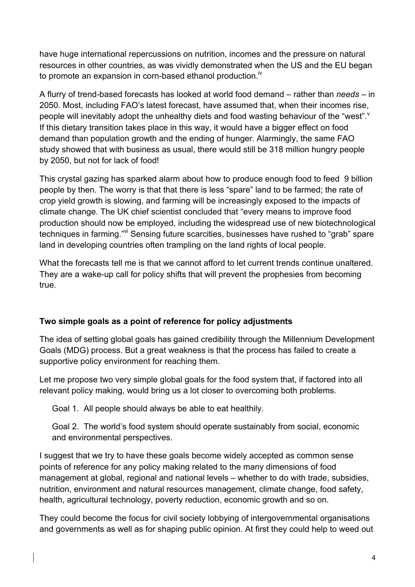have huge international repercussions on nutrition, incomes and the pressure on natural resources in other countries, as was vividly demonstrated when the US and the EU began to promote an expansion in corn-based ethanol production.<sup>iv</sup>

A flurry of trend-based forecasts has looked at world food demand – rather than *needs* – in 2050. Most, including FAO's latest forecast, have assumed that, when their incomes rise, people will inevitably adopt the unhealthy diets and food wasting behaviour of the "west". If this dietary transition takes place in this way, it would have a bigger effect on food demand than population growth and the ending of hunger. Alarmingly, the same FAO study showed that with business as usual, there would still be 318 million hungry people by 2050, but not for lack of food!

This crystal gazing has sparked alarm about how to produce enough food to feed 9 billion people by then. The worry is that that there is less "spare" land to be farmed; the rate of crop yield growth is slowing, and farming will be increasingly exposed to the impacts of climate change. The UK chief scientist concluded that "every means to improve food production should now be employed, including the widespread use of new biotechnological techniques in farming."<sup>vi</sup> Sensing future scarcities, businesses have rushed to "grab" spare land in developing countries often trampling on the land rights of local people.

What the forecasts tell me is that we cannot afford to let current trends continue unaltered. They are a wake-up call for policy shifts that will prevent the prophesies from becoming true.

### **Two simple goals as a point of reference for policy adjustments**

The idea of setting global goals has gained credibility through the Millennium Development Goals (MDG) process. But a great weakness is that the process has failed to create a supportive policy environment for reaching them.

Let me propose two very simple global goals for the food system that, if factored into all relevant policy making, would bring us a lot closer to overcoming both problems.

Goal 1. All people should always be able to eat healthily.

Goal 2. The world's food system should operate sustainably from social, economic and environmental perspectives.

I suggest that we try to have these goals become widely accepted as common sense points of reference for any policy making related to the many dimensions of food management at global, regional and national levels – whether to do with trade, subsidies, nutrition, environment and natural resources management, climate change, food safety, health, agricultural technology, poverty reduction, economic growth and so on.

They could become the focus for civil society lobbying of intergovernmental organisations and governments as well as for shaping public opinion. At first they could help to weed out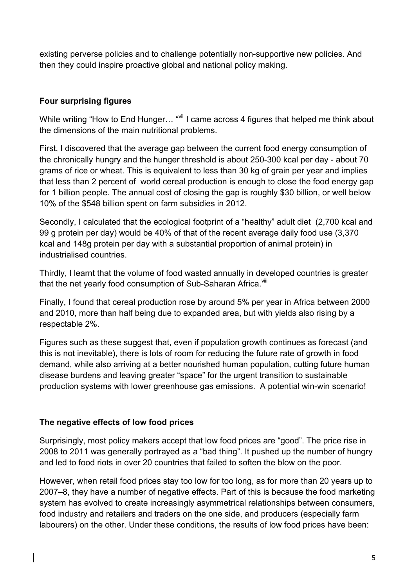existing perverse policies and to challenge potentially non-supportive new policies. And then they could inspire proactive global and national policy making.

## **Four surprising figures**

While writing "How to End Hunger... "<sup>vii</sup> I came across 4 figures that helped me think about the dimensions of the main nutritional problems.

First, I discovered that the average gap between the current food energy consumption of the chronically hungry and the hunger threshold is about 250-300 kcal per day - about 70 grams of rice or wheat. This is equivalent to less than 30 kg of grain per year and implies that less than 2 percent of world cereal production is enough to close the food energy gap for 1 billion people. The annual cost of closing the gap is roughly \$30 billion, or well below 10% of the \$548 billion spent on farm subsidies in 2012.

Secondly, I calculated that the ecological footprint of a "healthy" adult diet (2,700 kcal and 99 g protein per day) would be 40% of that of the recent average daily food use (3,370 kcal and 148g protein per day with a substantial proportion of animal protein) in industrialised countries.

Thirdly, I learnt that the volume of food wasted annually in developed countries is greater that the net yearly food consumption of Sub-Saharan Africa.<sup>viii</sup>

Finally, I found that cereal production rose by around 5% per year in Africa between 2000 and 2010, more than half being due to expanded area, but with yields also rising by a respectable 2%.

Figures such as these suggest that, even if population growth continues as forecast (and this is not inevitable), there is lots of room for reducing the future rate of growth in food demand, while also arriving at a better nourished human population, cutting future human disease burdens and leaving greater "space" for the urgent transition to sustainable production systems with lower greenhouse gas emissions. A potential win-win scenario!

### **The negative effects of low food prices**

Surprisingly, most policy makers accept that low food prices are "good". The price rise in 2008 to 2011 was generally portrayed as a "bad thing". It pushed up the number of hungry and led to food riots in over 20 countries that failed to soften the blow on the poor.

However, when retail food prices stay too low for too long, as for more than 20 years up to 2007–8, they have a number of negative effects. Part of this is because the food marketing system has evolved to create increasingly asymmetrical relationships between consumers, food industry and retailers and traders on the one side, and producers (especially farm labourers) on the other. Under these conditions, the results of low food prices have been: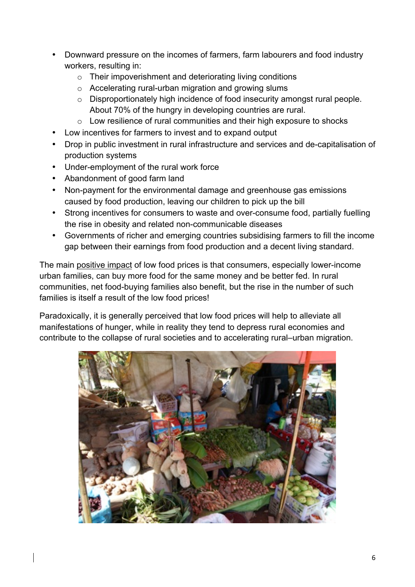- Downward pressure on the incomes of farmers, farm labourers and food industry workers, resulting in:
	- o Their impoverishment and deteriorating living conditions
	- o Accelerating rural-urban migration and growing slums
	- o Disproportionately high incidence of food insecurity amongst rural people. About 70% of the hungry in developing countries are rural.
	- o Low resilience of rural communities and their high exposure to shocks
- Low incentives for farmers to invest and to expand output
- Drop in public investment in rural infrastructure and services and de-capitalisation of production systems
- Under-employment of the rural work force
- Abandonment of good farm land
- Non-payment for the environmental damage and greenhouse gas emissions caused by food production, leaving our children to pick up the bill
- Strong incentives for consumers to waste and over-consume food, partially fuelling the rise in obesity and related non-communicable diseases
- Governments of richer and emerging countries subsidising farmers to fill the income gap between their earnings from food production and a decent living standard.

The main positive impact of low food prices is that consumers, especially lower-income urban families, can buy more food for the same money and be better fed. In rural communities, net food-buying families also benefit, but the rise in the number of such families is itself a result of the low food prices!

Paradoxically, it is generally perceived that low food prices will help to alleviate all manifestations of hunger, while in reality they tend to depress rural economies and contribute to the collapse of rural societies and to accelerating rural–urban migration.

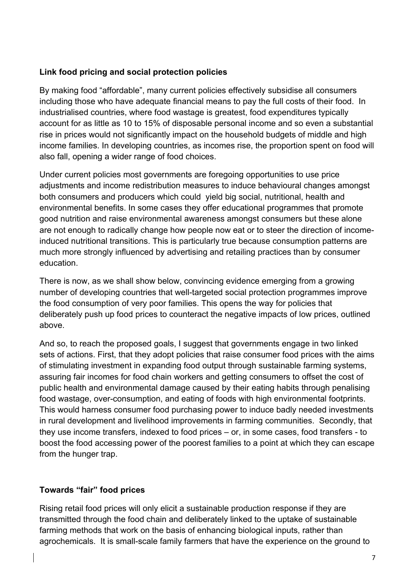### **Link food pricing and social protection policies**

By making food "affordable", many current policies effectively subsidise all consumers including those who have adequate financial means to pay the full costs of their food. In industrialised countries, where food wastage is greatest, food expenditures typically account for as little as 10 to 15% of disposable personal income and so even a substantial rise in prices would not significantly impact on the household budgets of middle and high income families. In developing countries, as incomes rise, the proportion spent on food will also fall, opening a wider range of food choices.

Under current policies most governments are foregoing opportunities to use price adjustments and income redistribution measures to induce behavioural changes amongst both consumers and producers which could yield big social, nutritional, health and environmental benefits. In some cases they offer educational programmes that promote good nutrition and raise environmental awareness amongst consumers but these alone are not enough to radically change how people now eat or to steer the direction of incomeinduced nutritional transitions. This is particularly true because consumption patterns are much more strongly influenced by advertising and retailing practices than by consumer education.

There is now, as we shall show below, convincing evidence emerging from a growing number of developing countries that well-targeted social protection programmes improve the food consumption of very poor families. This opens the way for policies that deliberately push up food prices to counteract the negative impacts of low prices, outlined above.

And so, to reach the proposed goals, I suggest that governments engage in two linked sets of actions. First, that they adopt policies that raise consumer food prices with the aims of stimulating investment in expanding food output through sustainable farming systems, assuring fair incomes for food chain workers and getting consumers to offset the cost of public health and environmental damage caused by their eating habits through penalising food wastage, over-consumption, and eating of foods with high environmental footprints. This would harness consumer food purchasing power to induce badly needed investments in rural development and livelihood improvements in farming communities. Secondly, that they use income transfers, indexed to food prices – or, in some cases, food transfers - to boost the food accessing power of the poorest families to a point at which they can escape from the hunger trap.

#### **Towards "fair" food prices**

Rising retail food prices will only elicit a sustainable production response if they are transmitted through the food chain and deliberately linked to the uptake of sustainable farming methods that work on the basis of enhancing biological inputs, rather than agrochemicals. It is small-scale family farmers that have the experience on the ground to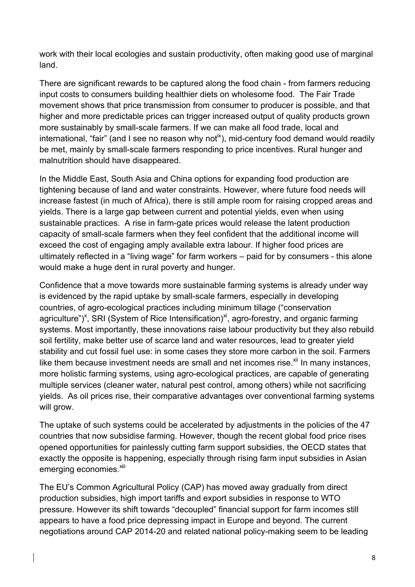work with their local ecologies and sustain productivity, often making good use of marginal land.

There are significant rewards to be captured along the food chain - from farmers reducing input costs to consumers building healthier diets on wholesome food. The Fair Trade movement shows that price transmission from consumer to producer is possible, and that higher and more predictable prices can trigger increased output of quality products grown more sustainably by small-scale farmers. If we can make all food trade, local and international, "fair" (and I see no reason why not<sup>ix</sup>), mid-century food demand would readily be met, mainly by small-scale farmers responding to price incentives. Rural hunger and malnutrition should have disappeared.

In the Middle East, South Asia and China options for expanding food production are tightening because of land and water constraints. However, where future food needs will increase fastest (in much of Africa), there is still ample room for raising cropped areas and yields. There is a large gap between current and potential yields, even when using sustainable practices. A rise in farm-gate prices would release the latent production capacity of small-scale farmers when they feel confident that the additional income will exceed the cost of engaging amply available extra labour. If higher food prices are ultimately reflected in a "living wage" for farm workers – paid for by consumers - this alone would make a huge dent in rural poverty and hunger.

Confidence that a move towards more sustainable farming systems is already under way is evidenced by the rapid uptake by small-scale farmers, especially in developing countries, of agro-ecological practices including minimum tillage ("conservation agriculture")<sup>x</sup>, SRI (System of Rice Intensification)<sup>xi</sup>, agro-forestry, and organic farming systems. Most importantly, these innovations raise labour productivity but they also rebuild soil fertility, make better use of scarce land and water resources, lead to greater yield stability and cut fossil fuel use: in some cases they store more carbon in the soil. Farmers like them because investment needs are small and net incomes rise.<sup> $xi$ </sup> In many instances, more holistic farming systems, using agro-ecological practices, are capable of generating multiple services (cleaner water, natural pest control, among others) while not sacrificing yields. As oil prices rise, their comparative advantages over conventional farming systems will grow.

The uptake of such systems could be accelerated by adjustments in the policies of the 47 countries that now subsidise farming. However, though the recent global food price rises opened opportunities for painlessly cutting farm support subsidies, the OECD states that exactly the opposite is happening, especially through rising farm input subsidies in Asian emerging economies.<sup>xiii</sup>

The EU's Common Agricultural Policy (CAP) has moved away gradually from direct production subsidies, high import tariffs and export subsidies in response to WTO pressure. However its shift towards "decoupled" financial support for farm incomes still appears to have a food price depressing impact in Europe and beyond. The current negotiations around CAP 2014-20 and related national policy-making seem to be leading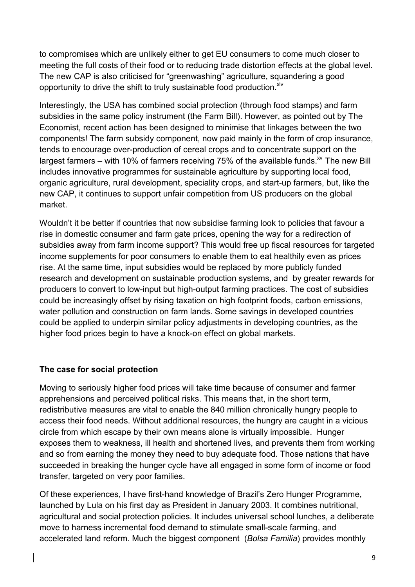to compromises which are unlikely either to get EU consumers to come much closer to meeting the full costs of their food or to reducing trade distortion effects at the global level. The new CAP is also criticised for "greenwashing" agriculture, squandering a good opportunity to drive the shift to truly sustainable food production. $X^W$ 

Interestingly, the USA has combined social protection (through food stamps) and farm subsidies in the same policy instrument (the Farm Bill). However, as pointed out by The Economist, recent action has been designed to minimise that linkages between the two components! The farm subsidy component, now paid mainly in the form of crop insurance, tends to encourage over-production of cereal crops and to concentrate support on the largest farmers – with 10% of farmers receiving 75% of the available funds.<sup>xv</sup> The new Bill includes innovative programmes for sustainable agriculture by supporting local food, organic agriculture, rural development, speciality crops, and start-up farmers, but, like the new CAP, it continues to support unfair competition from US producers on the global market.

Wouldn't it be better if countries that now subsidise farming look to policies that favour a rise in domestic consumer and farm gate prices, opening the way for a redirection of subsidies away from farm income support? This would free up fiscal resources for targeted income supplements for poor consumers to enable them to eat healthily even as prices rise. At the same time, input subsidies would be replaced by more publicly funded research and development on sustainable production systems, and by greater rewards for producers to convert to low-input but high-output farming practices. The cost of subsidies could be increasingly offset by rising taxation on high footprint foods, carbon emissions, water pollution and construction on farm lands. Some savings in developed countries could be applied to underpin similar policy adjustments in developing countries, as the higher food prices begin to have a knock-on effect on global markets.

### **The case for social protection**

Moving to seriously higher food prices will take time because of consumer and farmer apprehensions and perceived political risks. This means that, in the short term, redistributive measures are vital to enable the 840 million chronically hungry people to access their food needs. Without additional resources, the hungry are caught in a vicious circle from which escape by their own means alone is virtually impossible. Hunger exposes them to weakness, ill health and shortened lives, and prevents them from working and so from earning the money they need to buy adequate food. Those nations that have succeeded in breaking the hunger cycle have all engaged in some form of income or food transfer, targeted on very poor families.

Of these experiences, I have first-hand knowledge of Brazil's Zero Hunger Programme, launched by Lula on his first day as President in January 2003. It combines nutritional, agricultural and social protection policies. It includes universal school lunches, a deliberate move to harness incremental food demand to stimulate small-scale farming, and accelerated land reform. Much the biggest component (*Bolsa Familia*) provides monthly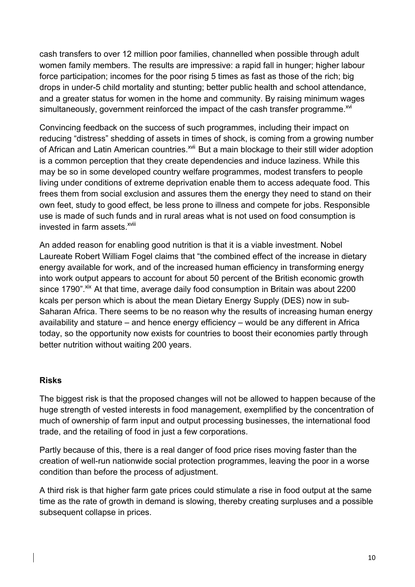cash transfers to over 12 million poor families, channelled when possible through adult women family members. The results are impressive: a rapid fall in hunger; higher labour force participation; incomes for the poor rising 5 times as fast as those of the rich; big drops in under-5 child mortality and stunting; better public health and school attendance, and a greater status for women in the home and community. By raising minimum wages simultaneously, government reinforced the impact of the cash transfer programme.<sup>XVI</sup>

Convincing feedback on the success of such programmes, including their impact on reducing "distress" shedding of assets in times of shock, is coming from a growing number of African and Latin American countries.<sup>xvii</sup> But a main blockage to their still wider adoption is a common perception that they create dependencies and induce laziness. While this may be so in some developed country welfare programmes, modest transfers to people living under conditions of extreme deprivation enable them to access adequate food. This frees them from social exclusion and assures them the energy they need to stand on their own feet, study to good effect, be less prone to illness and compete for jobs. Responsible use is made of such funds and in rural areas what is not used on food consumption is invested in farm assets <sup>xviii</sup>

An added reason for enabling good nutrition is that it is a viable investment. Nobel Laureate Robert William Fogel claims that "the combined effect of the increase in dietary energy available for work, and of the increased human efficiency in transforming energy into work output appears to account for about 50 percent of the British economic growth since 1790". Xix At that time, average daily food consumption in Britain was about 2200 kcals per person which is about the mean Dietary Energy Supply (DES) now in sub-Saharan Africa. There seems to be no reason why the results of increasing human energy availability and stature – and hence energy efficiency – would be any different in Africa today, so the opportunity now exists for countries to boost their economies partly through better nutrition without waiting 200 years.

#### **Risks**

The biggest risk is that the proposed changes will not be allowed to happen because of the huge strength of vested interests in food management, exemplified by the concentration of much of ownership of farm input and output processing businesses, the international food trade, and the retailing of food in just a few corporations.

Partly because of this, there is a real danger of food price rises moving faster than the creation of well-run nationwide social protection programmes, leaving the poor in a worse condition than before the process of adjustment.

A third risk is that higher farm gate prices could stimulate a rise in food output at the same time as the rate of growth in demand is slowing, thereby creating surpluses and a possible subsequent collapse in prices.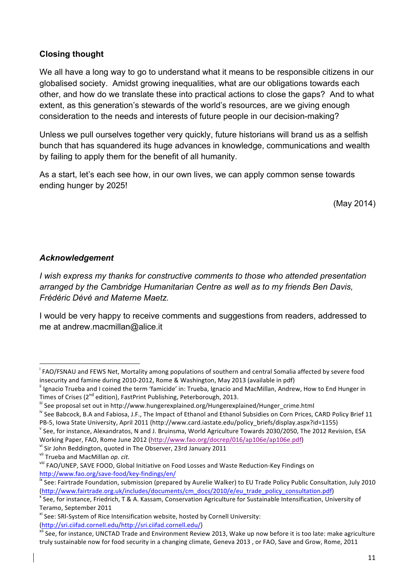#### **Closing thought**

We all have a long way to go to understand what it means to be responsible citizens in our globalised society. Amidst growing inequalities, what are our obligations towards each other, and how do we translate these into practical actions to close the gaps? And to what extent, as this generation's stewards of the world's resources, are we giving enough consideration to the needs and interests of future people in our decision-making?

Unless we pull ourselves together very quickly, future historians will brand us as a selfish bunch that has squandered its huge advances in knowledge, communications and wealth by failing to apply them for the benefit of all humanity.

As a start, let's each see how, in our own lives, we can apply common sense towards ending hunger by 2025!

(May 2014)

#### *Acknowledgement*

*I wish express my thanks for constructive comments to those who attended presentation arranged by the Cambridge Humanitarian Centre as well as to my friends Ben Davis, Frédéric Dévé and Materne Maetz.*

I would be very happy to receive comments and suggestions from readers, addressed to me at andrew.macmillan@alice.it

!!!!!!!!!!!!!!!!!!!!!!!!!!!!!!!!!!!!!!!!!!!!!!!!!!!!!!!!!!!!

<sup>&</sup>lt;sup>i</sup> FAO/FSNAU and FEWS Net, Mortality among populations of southern and central Somalia affected by severe food insecurity and famine during 2010-2012, Rome & Washington, May 2013 (available in pdf) incotal famine during a<br>"Ignacio Trueba and I coined the term 'famicide' in: Trueba, Ignacio and MacMillan, Andrew, How to End Hunger i

Times of Crises (2<sup>nd</sup> edition), FastPrint Publishing, Peterborough, 2013.<br><sup>iii</sup> See proposal set out in http://www.hungerexplained.org/Hungerexplained/Hunger\_crime.html<br><sup>iv</sup> See Babcock, B.A and Fabiosa, J.F., The Impact

PB-5, Iowa State University, April 2011 (http://www.card.iastate.edu/policy\_briefs/display.aspx?id=1155)<br><sup>V</sup> See, for instance, Alexandratos, N and J. Bruinsma, World Agriculture Towards 2030/2050, The 2012 Revision, ESA

Working Paper, FAO, Rome June 2012 (http://www.fao.org/docrep/016/ap106e/ap106e.pdf)<br><sup>vi</sup> Sir John Beddington, quoted in The Observer, 23rd January 2011<br><sup>vii</sup> Trueba and MacMillan *op. cit.* 

viii FAO/UNEP, SAVE FOOD, Global Initiative on Food Losses and Waste Reduction-Key Findings on

http://www.fao.org/save-food/key-findings/en/<br>
Kiec: Fairtrade Foundation, submission (prepared by Aurelie Walker) to EU Trade Policy Public Consultation, July 2010 (http://www.fairtrade.org.uk/includes/documents/cm\_docs/2010/e/eu\_trade\_policy\_consultation.pdf) x See, for instance, Friedrich, T & A. Kassam, Conservation Agriculture for Sustainable Intensification, University of

Teramo, September 2011<br><sup>xi</sup> See: SRI-System of Rice Intensification website, hosted by Cornell University:

<sup>(</sup>http://sri.ciifad.cornell.edu/http://sri.ciifad.cornell.edu/)<br>xii See, for instance, UNCTAD Trade and Environment Review 2013, Wake up now before it is too late: make agriculture truly sustainable now for food security in a changing climate, Geneva 2013, or FAO, Save and Grow, Rome, 2011